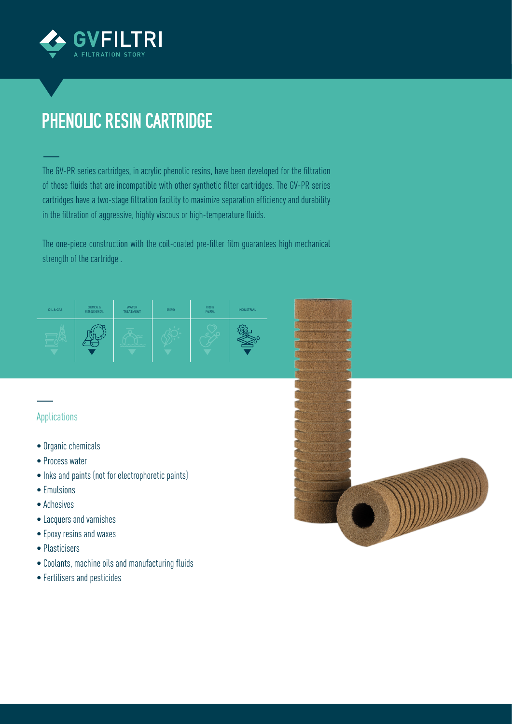

## PHENOLIC RESIN CARTRIDGE

The GV-PR series cartridges, in acrylic phenolic resins, have been developed for the filtration of those fluids that are incompatible with other synthetic filter cartridges. The GV-PR series cartridges have a two-stage filtration facility to maximize separation efficiency and durability in the filtration of aggressive, highly viscous or high-temperature fluids.

The one-piece construction with the coil-coated pre-filter film guarantees high mechanical strength of the cartridge .

| OIL & GAS | CHEMICAL &<br>PETROLCHEMICAL | <b>WATER</b><br><b>TREATMENT</b> | ENERGY | F000 &<br>PHARMA | <b>INDUSTRIAL</b> |
|-----------|------------------------------|----------------------------------|--------|------------------|-------------------|
|           |                              |                                  |        |                  |                   |

## Applications

- Organic chemicals
- Process water
- Inks and paints (not for electrophoretic paints)
- Emulsions
- Adhesives
- Lacquers and varnishes
- Epoxy resins and waxes
- Plasticisers
- Coolants, machine oils and manufacturing fluids
- Fertilisers and pesticides